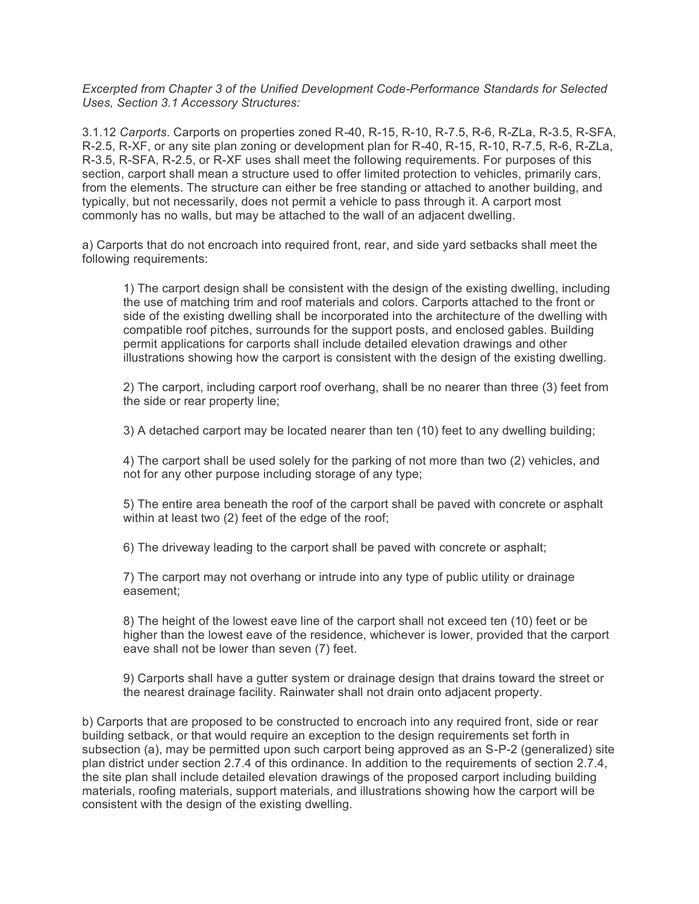*Excerpted from Chapter 3 of the Unified Development Code-Performance Standards for Selected Uses, Section 3.1 Accessory Structures:*

3.1.12 *Carports*. Carports on properties zoned R-40, R-15, R-10, R-7.5, R-6, R-ZLa, R-3.5, R-SFA, R-2.5, R-XF, or any site plan zoning or development plan for R-40, R-15, R-10, R-7.5, R-6, R-ZLa, R-3.5, R-SFA, R-2.5, or R-XF uses shall meet the following requirements. For purposes of this section, carport shall mean a structure used to offer limited protection to vehicles, primarily cars, from the elements. The structure can either be free standing or attached to another building, and typically, but not necessarily, does not permit a vehicle to pass through it. A carport most commonly has no walls, but may be attached to the wall of an adjacent dwelling.

a) Carports that do not encroach into required front, rear, and side yard setbacks shall meet the following requirements:

1) The carport design shall be consistent with the design of the existing dwelling, including the use of matching trim and roof materials and colors. Carports attached to the front or side of the existing dwelling shall be incorporated into the architecture of the dwelling with compatible roof pitches, surrounds for the support posts, and enclosed gables. Building permit applications for carports shall include detailed elevation drawings and other illustrations showing how the carport is consistent with the design of the existing dwelling.

2) The carport, including carport roof overhang, shall be no nearer than three (3) feet from the side or rear property line;

3) A detached carport may be located nearer than ten (10) feet to any dwelling building;

4) The carport shall be used solely for the parking of not more than two (2) vehicles, and not for any other purpose including storage of any type;

5) The entire area beneath the roof of the carport shall be paved with concrete or asphalt within at least two (2) feet of the edge of the roof;

6) The driveway leading to the carport shall be paved with concrete or asphalt;

7) The carport may not overhang or intrude into any type of public utility or drainage easement;

8) The height of the lowest eave line of the carport shall not exceed ten (10) feet or be higher than the lowest eave of the residence, whichever is lower, provided that the carport eave shall not be lower than seven (7) feet.

9) Carports shall have a gutter system or drainage design that drains toward the street or the nearest drainage facility. Rainwater shall not drain onto adjacent property.

b) Carports that are proposed to be constructed to encroach into any required front, side or rear building setback, or that would require an exception to the design requirements set forth in subsection (a), may be permitted upon such carport being approved as an S-P-2 (generalized) site plan district under section 2.7.4 of this ordinance. In addition to the requirements of section 2.7.4, the site plan shall include detailed elevation drawings of the proposed carport including building materials, roofing materials, support materials, and illustrations showing how the carport will be consistent with the design of the existing dwelling.